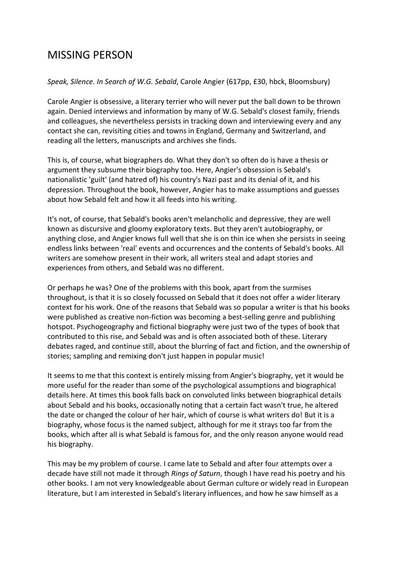## MISSING PERSON

*Speak, Silence. In Search of W.G. Sebald*, Carole Angier (617pp, £30, hbck, Bloomsbury)

Carole Angier is obsessive, a literary terrier who will never put the ball down to be thrown again. Denied interviews and information by many of W.G. Sebald's closest family, friends and colleagues, she nevertheless persists in tracking down and interviewing every and any contact she can, revisiting cities and towns in England, Germany and Switzerland, and reading all the letters, manuscripts and archives she finds.

This is, of course, what biographers do. What they don't so often do is have a thesis or argument they subsume their biography too. Here, Angier's obsession is Sebald's nationalistic 'guilt' (and hatred of) his country's Nazi past and its denial of it, and his depression. Throughout the book, however, Angier has to make assumptions and guesses about how Sebald felt and how it all feeds into his writing.

It's not, of course, that Sebald's books aren't melancholic and depressive, they are well known as discursive and gloomy exploratory texts. But they aren't autobiography, or anything close, and Angier knows full well that she is on thin ice when she persists in seeing endless links between 'real' events and occurrences and the contents of Sebald's books. All writers are somehow present in their work, all writers steal and adapt stories and experiences from others, and Sebald was no different.

Or perhaps he was? One of the problems with this book, apart from the surmises throughout, is that it is so closely focussed on Sebald that it does not offer a wider literary context for his work. One of the reasons that Sebald was so popular a writer is that his books were published as creative non-fiction was becoming a best-selling genre and publishing hotspot. Psychogeography and fictional biography were just two of the types of book that contributed to this rise, and Sebald was and is often associated both of these. Literary debates raged, and continue still, about the blurring of fact and fiction, and the ownership of stories; sampling and remixing don't just happen in popular music!

It seems to me that this context is entirely missing from Angier's biography, yet it would be more useful for the reader than some of the psychological assumptions and biographical details here. At times this book falls back on convoluted links between biographical details about Sebald and his books, occasionally noting that a certain fact wasn't true, he altered the date or changed the colour of her hair, which of course is what writers do! But it is a biography, whose focus is the named subject, although for me it strays too far from the books, which after all is what Sebald is famous for, and the only reason anyone would read his biography.

This may be my problem of course. I came late to Sebald and after four attempts over a decade have still not made it through *Rings of Saturn*, though I have read his poetry and his other books. I am not very knowledgeable about German culture or widely read in European literature, but I am interested in Sebald's literary influences, and how he saw himself as a